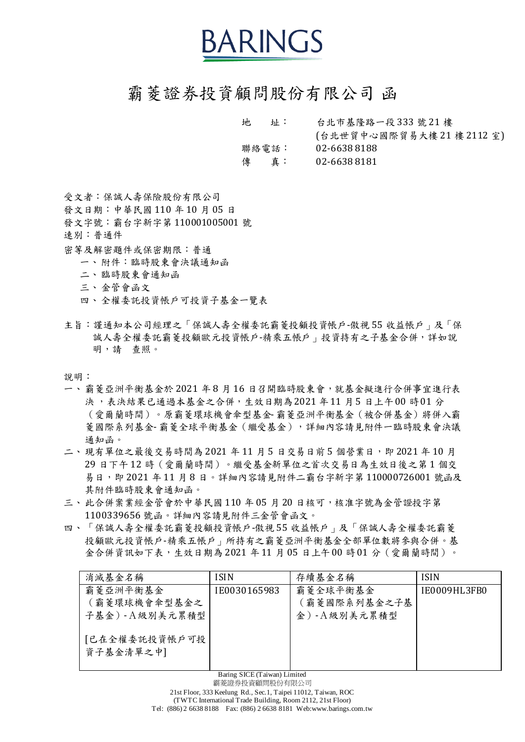## BARINGS

## 霸菱證券投資顧問股份有限公司 函

地 址: 台北市基隆路一段 333 號 21 樓 (台北世貿中心國際貿易大樓 21 樓 2112 室) 聯絡電話: 02-6638 8188 傳 真: 02-6638 8181

受文者:保誠人壽保險股份有限公司

發文日期:中華民國 110 年 10 月 05 日

發文字號:霸台字新字第 110001005001 號

速別:普通件

密等及解密題件或保密期限:普通

一、附件:臨時股東會決議通知函

二、臨時股東會通知函

- 三、金管會函文
- 四、全權委託投資帳戶可投資子基金一覽表
- 主旨:謹通知本公司經理之「保誠人壽全權委託霸菱投顧投資帳戶-傲視 55 收益帳戶」及「保 誠人壽全權委託霸菱投顧歐元投資帳戶-精乘五帳戶 的投資持有之子基金合併,詳如說 明,請 查照。

說明:

- 一、霸菱亞洲平衡基金於 2021 年 8 月 16 日召開臨時股東會,就基金擬進行合併事宜進行表 決 ,表決結果已通過本基金之合併,生效日期為2021 年11 月5 日上午00 時01 分 (愛爾蘭時間)。原霸菱環球機會傘型基金- 霸菱亞洲平衡基金(被合併基金)將併入霸 菱國際系列基金-霸菱全球平衡基金(繼受基金),詳細內容請見附件一臨時股東會決議 通知函。
- 二、現有單位之最後交易時間為 2021 年11 月 5 日交易日前 5 個營業日, 即 2021 年 10 月 29 日下午 12 時(愛爾蘭時間)。繼受基金新單位之首次交易日為生效日後之第 1 個交 易日,即 2021 年 11 月 8 日。詳細內容請見附件二霸台字新字第 110000726001 號函及 其附件臨時股東會通知函。
- 三、此合併案業經金管會於中華民國 110 年 05 月 20 日核可,核准字號為金管證投字第 1100339656 號函。詳細內容請見附件三金管會函文。
- 四、「保誠人壽全權委託霸菱投顧投資帳戶-傲視 55 收益帳戶」及「保誠人壽全權委託霸菱 投顧歐元投資帳戶-精乘五帳戶」所持有之霸菱亞洲平衡基金全部單位數將參與合併。基 金合併資訊如下表,生效日期為 2021 年11 月 05 日上午00 時01 分 (愛爾蘭時間)。

| 消滅基金名稱                      | <b>ISIN</b>  | 存續基金名稱       | <b>ISIN</b>  |
|-----------------------------|--------------|--------------|--------------|
| 霸菱亞洲平衡基金                    | IE0030165983 | 霸菱全球平衡基金     | IE0009HL3FB0 |
| (霸菱環球機會傘型基金之                |              | 〔霸菱國際系列基金之子基 |              |
| 子基金)-A級別美元累積型               |              | 金)-A級別美元累積型  |              |
| [已在全權委託投資帳戶可投]<br>資子基金清單之中] |              |              |              |

Baring SICE (Taiwan) Limited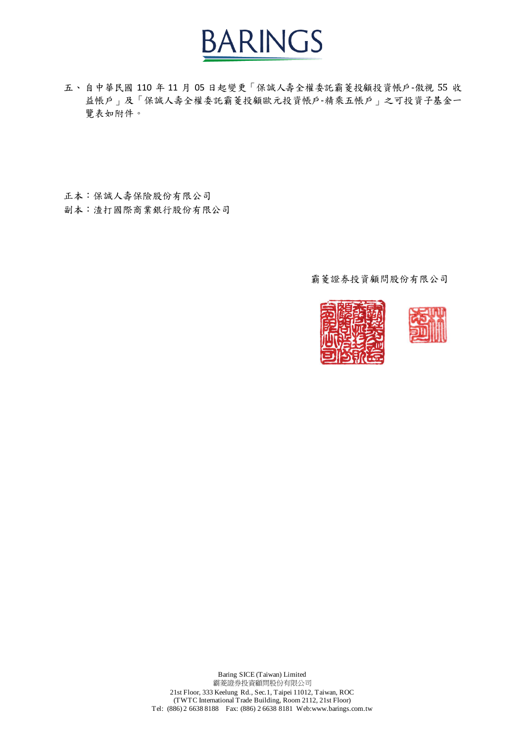

五、自中華民國 110 年 11 月 05 日起變更「保誠人壽全權委託霸菱投顧投資帳戶-傲視 55 收 益帳戶」及「保誠人壽全權委託霸菱投顧歐元投資帳戶-精乘五帳戶」之可投資子基金一 覽表如附件。

正本:保誠人壽保險股份有限公司 副本:渣打國際商業銀行股份有限公司

霸菱證券投資顧問股份有限公司





Baring SICE (Taiwan) Limited 霸菱證券投資顧問股份有限公司 21st Floor, 333 Keelung Rd., Sec.1, Taipei 11012, Taiwan, ROC (TWTC International Trade Building, Room 2112, 21st Floor) Tel: (886) 2 6638 8188 Fax: (886) 2 6638 8181 Web:www.barings.com.tw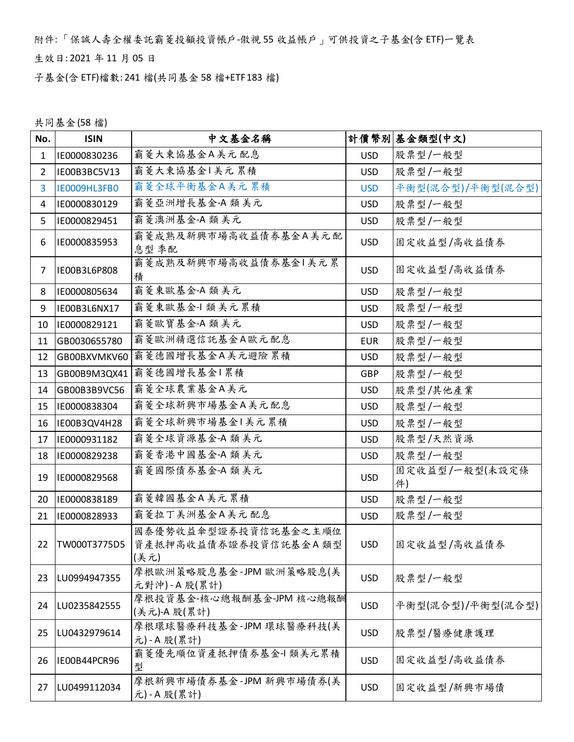附件: 「保誠人壽全權委託霸菱投顧投資帳戶-傲視 55 收益帳戶」可供投資之子基金(含 ETF)一覽表

生效日: 2021 年 11 月 05 日

子基金(含 ETF)檔數: 241 檔(共同基金 58 檔+ETF 183 檔)

共同基金(58 檔)

| No.            | <b>ISIN</b>  | 中文基金名稱                                                |            | 計價幣別 基金類型(中文)        |
|----------------|--------------|-------------------------------------------------------|------------|----------------------|
| 1              | IE0000830236 | 霸菱大東協基金A美元配息                                          | <b>USD</b> | 股票型/一般型              |
| $\overline{2}$ | IE00B3BC5V13 | 霸菱大東協基金1美元累積                                          | <b>USD</b> | 股票型/一般型              |
| $\overline{3}$ | IE0009HL3FB0 | 霸菱全球平衡基金A美元累積                                         | <b>USD</b> | 平衡型(混合型)/平衡型(混合型)    |
| 4              | IE0000830129 | 霸菱亞洲增長基金-A 類美元                                        | <b>USD</b> | 股票型/一般型              |
| 5              | IE0000829451 | 霸菱澳洲基金-A 類美元                                          | <b>USD</b> | 股票型/一般型              |
| 6              | IE0000835953 | 霸菱成熟及新興市場高收益債券基金A美元配<br>息型 季配                         | <b>USD</b> | 固定收益型/高收益債券          |
| 7              | IE00B3L6P808 | 霸菱成熟及新興市場高收益債券基金1美元累<br>積                             | <b>USD</b> | 固定收益型/高收益債券          |
| 8              | IE0000805634 | 霸菱東歐基金-A 類美元                                          | <b>USD</b> | 股票型/一般型              |
| 9              | IE00B3L6NX17 | 霸菱東歐基金-1 類美元累積                                        | <b>USD</b> | 股票型/一般型              |
| 10             | IE0000829121 | 霸菱歐寶基金-A 類美元                                          | <b>USD</b> | 股票型/一般型              |
| 11             | GB0030655780 | 霸菱歐洲精選信託基金A歐元配息                                       | <b>EUR</b> | 股票型/一般型              |
| 12             | GB00BXVMKV60 | 霸菱德國增長基金A美元避險累積                                       | <b>USD</b> | 股票型/一般型              |
| 13             | GB00B9M3QX41 | 霸菱德國增長基金1累積                                           | GBP        | 股票型/一般型              |
| 14             | GB00B3B9VC56 | 霸菱全球農業基金A美元                                           | <b>USD</b> | 股票型/其他產業             |
| 15             | IE0000838304 | 霸菱全球新興市場基金A美元配息                                       | <b>USD</b> | 股票型/一般型              |
| 16             | IE00B3QV4H28 | 霸菱全球新興市場基金1美元累積                                       | <b>USD</b> | 股票型/一般型              |
| 17             | IE0000931182 | 霸菱全球資源基金-A 類美元                                        | <b>USD</b> | 股票型/天然資源             |
| 18             | IE0000829238 | 霸菱香港中國基金-A 類美元                                        | <b>USD</b> | 股票型/一般型              |
| 19             | IE0000829568 | 霸菱國際債券基金-A 類美元                                        | <b>USD</b> | 固定收益型/一般型(未設定條<br>件) |
| 20             | IE0000838189 | 霸菱韓國基金A美元累積                                           | <b>USD</b> | 股票型/一般型              |
| 21             | IE0000828933 | 霸菱拉丁美洲基金A美元配息                                         | <b>USD</b> | 股票型/一般型              |
| 22             | TW000T3775D5 | 國泰優勢收益傘型證券投資信託基金之主順位<br>資產抵押高收益債券證券投資信託基金A 類型<br>(美元) | <b>USD</b> | 固定收益型/高收益債券          |
| 23             | LU0994947355 | 摩根歐洲策略股息基金-JPM 歐洲策略股息(美<br>元對沖)-A股(累計)                | <b>USD</b> | 股票型/一般型              |
| 24             | LU0235842555 | 摩根投資基金-核心總報酬基金-JPM 核心總報酬<br>(美元)-A 股(累計)              | <b>USD</b> | 平衡型(混合型)/平衡型(混合型)    |
| 25             | LU0432979614 | 摩根環球醫療科技基金-JPM 環球醫療科技(美<br>元)-A股(累計)                  | <b>USD</b> | 股票型/醫療健康護理           |
| 26             | IE00B44PCR96 | 霸菱優先順位資產抵押債券基金-1 類美元累積<br>型                           | <b>USD</b> | 固定收益型/高收益債券          |
| 27             | LU0499112034 | 摩根新興市場債券基金-JPM 新興市場債券(美<br>元)-A股(累計)                  | <b>USD</b> | 固定收益型/新興市場債          |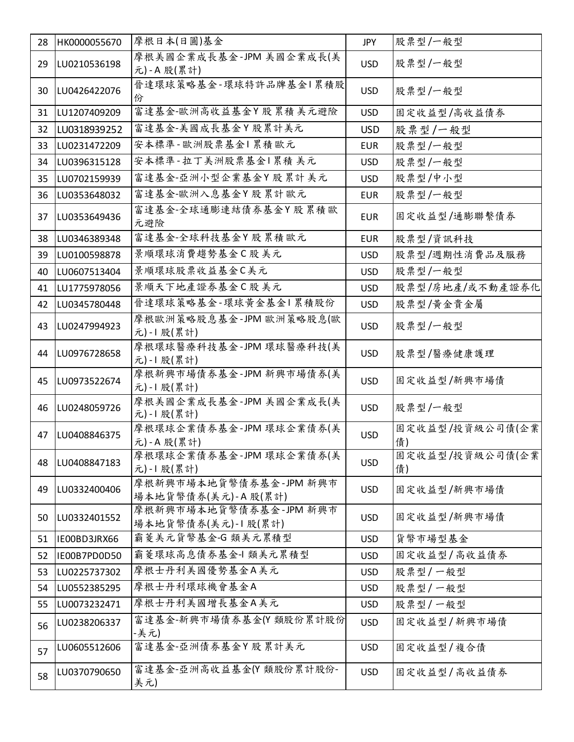| 28 | HK0000055670 | 摩根日本(日圓)基金                                    | <b>JPY</b> | 股票型/一般型               |
|----|--------------|-----------------------------------------------|------------|-----------------------|
| 29 | LU0210536198 | 摩根美國企業成長基金-JPM 美國企業成長(美<br>元)-A股(累計)          | <b>USD</b> | 股票型/一般型               |
| 30 | LU0426422076 | 晉達環球策略基金-環球特許品牌基金1累積股<br>份                    | <b>USD</b> | 股票型/一般型               |
| 31 | LU1207409209 | 富達基金-歐洲高收益基金Y股累積美元避險                          | <b>USD</b> | 固定收益型/高收益債券           |
| 32 | LU0318939252 | 富達基金-美國成長基金Y股累計美元                             | <b>USD</b> | 股票型/一般型               |
| 33 | LU0231472209 | 安本標準-歐洲股票基金1累積歐元                              | <b>EUR</b> | 股票型/一般型               |
| 34 | LU0396315128 | 安本標準-拉丁美洲股票基金1累積 美元                           | <b>USD</b> | 股票型/一般型               |
| 35 | LU0702159939 | 富達基金-亞洲小型企業基金Y股累計美元                           | <b>USD</b> | 股票型/中小型               |
| 36 | LU0353648032 | 富達基金-歐洲入息基金Y股累計歐元                             | <b>EUR</b> | 股票型/一般型               |
| 37 | LU0353649436 | 富達基金-全球通膨連結債券基金Y股累積歐<br>元避險                   | <b>EUR</b> | 固定收益型/通膨聯繫債券          |
| 38 | LU0346389348 | 富達基金-全球科技基金Y股累積歐元                             | <b>EUR</b> | 股票型/資訊科技              |
| 39 | LU0100598878 | 景順環球消費趨勢基金C股美元                                | <b>USD</b> | 股票型/週期性消費品及服務         |
| 40 | LU0607513404 | 景順環球股票收益基金C美元                                 | <b>USD</b> | 股票型/一般型               |
| 41 | LU1775978056 | 景順天下地產證券基金C股美元                                | <b>USD</b> | 股票型/房地產/或不動產證券化       |
| 42 | LU0345780448 | 晉達環球策略基金-環球黃金基金 累積股份                          | <b>USD</b> | 股票型/黄金貴金屬             |
| 43 | LU0247994923 | 摩根歐洲策略股息基金-JPM 歐洲策略股息(歐<br>元)-1 股(累計)         | <b>USD</b> | 股票型/一般型               |
| 44 | LU0976728658 | 摩根環球醫療科技基金-JPM 環球醫療科技(美<br>元)-1 股(累計)         | <b>USD</b> | 股票型/醫療健康護理            |
| 45 | LU0973522674 | 摩根新興市場債券基金-JPM 新興市場債券(美<br>元)-1 股(累計)         | <b>USD</b> | 固定收益型/新興市場債           |
| 46 | LU0248059726 | 摩根美國企業成長基金-JPM 美國企業成長(美<br>元)-1 股(累計)         | <b>USD</b> | 股票型/一般型               |
| 47 | LU0408846375 | 摩根環球企業債券基金-JPM 環球企業債券(美<br>元)-A股(累計)          | <b>USD</b> | 固定收益型/投資級公司債(企業<br>債) |
| 48 | LU0408847183 | 摩根環球企業債券基金-JPM 環球企業債券(美<br>元)-1 股(累計)         | <b>USD</b> | 固定收益型/投資級公司債(企業<br>債) |
| 49 | LU0332400406 | 摩根新興市場本地貨幣債券基金-JPM 新興市<br> 場本地貨幣債券(美元)-A股(累計) | <b>USD</b> | 固定收益型/新興市場債           |
| 50 | LU0332401552 | 摩根新興市場本地貨幣債券基金-JPM 新興市<br> 場本地貨幣債券(美元)-1股(累計) | <b>USD</b> | 固定收益型/新興市場債           |
| 51 | IE00BD3JRX66 | 霸菱美元貨幣基金-G 類美元累積型                             | <b>USD</b> | 貨幣市場型基金               |
| 52 | IE00B7PD0D50 | 霸菱環球高息債券基金-1 類美元累積型                           | <b>USD</b> | 固定收益型/高收益債券           |
| 53 | LU0225737302 | 摩根士丹利美國優勢基金A美元                                | <b>USD</b> | 股票型/一般型               |
| 54 | LU0552385295 | 摩根士丹利環球機會基金A                                  | <b>USD</b> | 股票型/一般型               |
| 55 | LU0073232471 | 摩根士丹利美國增長基金A美元                                | <b>USD</b> | 股票型/一般型               |
| 56 | LU0238206337 | 富達基金-新興市場債券基金(Y 類股份累計股份<br>-美元)               | <b>USD</b> | 固定收益型/新興市場債           |
| 57 | LU0605512606 | 富達基金-亞洲債券基金Y 股累計美元                            | <b>USD</b> | 固定收益型/複合債             |
| 58 | LU0370790650 | 富達基金-亞洲高收益基金(Y 類股份累計股份-<br>美元)                | <b>USD</b> | 固定收益型/高收益債券           |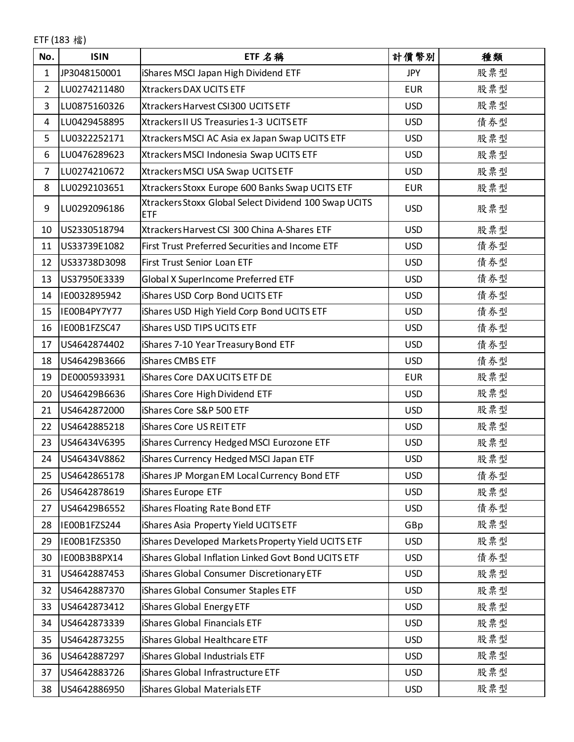ETF (183 檔)

| No.            | <b>ISIN</b>  | ETF 名稱                                                              | 計價幣別       | 種類  |
|----------------|--------------|---------------------------------------------------------------------|------------|-----|
| 1              | JP3048150001 | iShares MSCI Japan High Dividend ETF                                | <b>JPY</b> | 股票型 |
| $\overline{2}$ | LU0274211480 | Xtrackers DAX UCITS ETF                                             | <b>EUR</b> | 股票型 |
| 3              | LU0875160326 | Xtrackers Harvest CSI300 UCITS ETF                                  | <b>USD</b> | 股票型 |
| 4              | LU0429458895 | Xtrackers II US Treasuries 1-3 UCITS ETF                            | <b>USD</b> | 債券型 |
| 5              | LU0322252171 | Xtrackers MSCI AC Asia ex Japan Swap UCITS ETF                      | <b>USD</b> | 股票型 |
| 6              | LU0476289623 | Xtrackers MSCI Indonesia Swap UCITS ETF                             | <b>USD</b> | 股票型 |
| $\overline{7}$ | LU0274210672 | Xtrackers MSCI USA Swap UCITS ETF                                   | <b>USD</b> | 股票型 |
| 8              | LU0292103651 | Xtrackers Stoxx Europe 600 Banks Swap UCITS ETF                     | <b>EUR</b> | 股票型 |
| 9              | LU0292096186 | Xtrackers Stoxx Global Select Dividend 100 Swap UCITS<br><b>ETF</b> | <b>USD</b> | 股票型 |
| 10             | US2330518794 | Xtrackers Harvest CSI 300 China A-Shares ETF                        | <b>USD</b> | 股票型 |
| 11             | US33739E1082 | First Trust Preferred Securities and Income ETF                     | <b>USD</b> | 債券型 |
| 12             | US33738D3098 | First Trust Senior Loan ETF                                         | <b>USD</b> | 債券型 |
| 13             | US37950E3339 | Global X SuperIncome Preferred ETF                                  | <b>USD</b> | 債券型 |
| 14             | IE0032895942 | iShares USD Corp Bond UCITS ETF                                     | <b>USD</b> | 債券型 |
| 15             | IE00B4PY7Y77 | iShares USD High Yield Corp Bond UCITS ETF                          | <b>USD</b> | 債券型 |
| 16             | IE00B1FZSC47 | iShares USD TIPS UCITS ETF                                          | <b>USD</b> | 債券型 |
| 17             | US4642874402 | iShares 7-10 Year Treasury Bond ETF                                 | <b>USD</b> | 債券型 |
| 18             | US46429B3666 | iShares CMBS ETF                                                    | <b>USD</b> | 債券型 |
| 19             | DE0005933931 | iShares Core DAX UCITS ETF DE                                       | <b>EUR</b> | 股票型 |
| 20             | US46429B6636 | iShares Core High Dividend ETF                                      | <b>USD</b> | 股票型 |
| 21             | US4642872000 | iShares Core S&P 500 ETF                                            | <b>USD</b> | 股票型 |
| 22             | US4642885218 | iShares Core US REIT ETF                                            | <b>USD</b> | 股票型 |
| 23             | US46434V6395 | iShares Currency Hedged MSCI Eurozone ETF                           | <b>USD</b> | 股票型 |
| 24             | US46434V8862 | iShares Currency Hedged MSCI Japan ETF                              | <b>USD</b> | 股票型 |
| 25             | US4642865178 | iShares JP Morgan EM Local Currency Bond ETF                        | <b>USD</b> | 債券型 |
| 26             | US4642878619 | iShares Europe ETF                                                  | <b>USD</b> | 股票型 |
| 27             | US46429B6552 | iShares Floating Rate Bond ETF                                      | <b>USD</b> | 債券型 |
| 28             | IE00B1FZS244 | iShares Asia Property Yield UCITS ETF                               | GBp        | 股票型 |
| 29             | IE00B1FZS350 | iShares Developed Markets Property Yield UCITS ETF                  | <b>USD</b> | 股票型 |
| 30             | IE00B3B8PX14 | iShares Global Inflation Linked Govt Bond UCITS ETF                 | <b>USD</b> | 債券型 |
| 31             | US4642887453 | iShares Global Consumer Discretionary ETF                           | <b>USD</b> | 股票型 |
| 32             | US4642887370 | iShares Global Consumer Staples ETF                                 | <b>USD</b> | 股票型 |
| 33             | US4642873412 | iShares Global Energy ETF                                           | <b>USD</b> | 股票型 |
| 34             | US4642873339 | iShares Global Financials ETF                                       | <b>USD</b> | 股票型 |
| 35             | US4642873255 | iShares Global Healthcare ETF                                       | <b>USD</b> | 股票型 |
| 36             | US4642887297 | iShares Global Industrials ETF                                      | <b>USD</b> | 股票型 |
| 37             | US4642883726 | iShares Global Infrastructure ETF                                   | <b>USD</b> | 股票型 |
| 38             | US4642886950 | iShares Global Materials ETF                                        | <b>USD</b> | 股票型 |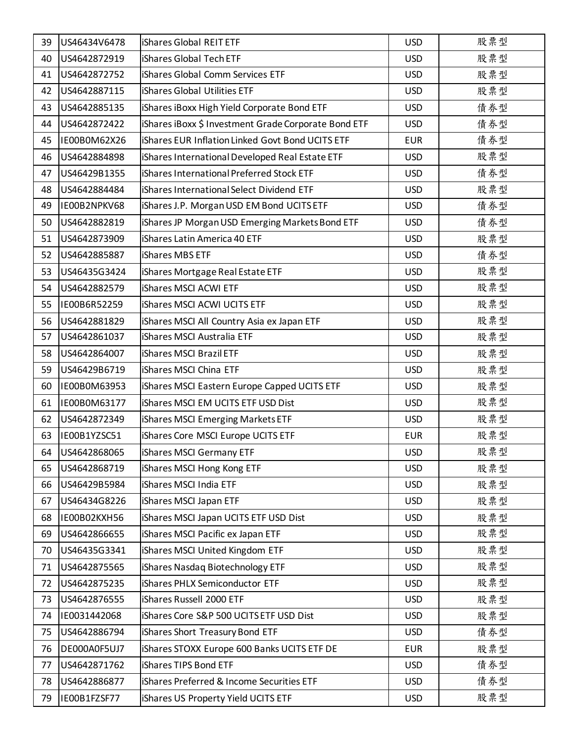| 39 | US46434V6478 | <b>iShares Global REIT ETF</b>                       | <b>USD</b> | 股票型 |
|----|--------------|------------------------------------------------------|------------|-----|
| 40 | US4642872919 | iShares Global Tech ETF                              | <b>USD</b> | 股票型 |
| 41 | US4642872752 | iShares Global Comm Services ETF                     | <b>USD</b> | 股票型 |
| 42 | US4642887115 | <b>iShares Global Utilities ETF</b>                  | <b>USD</b> | 股票型 |
| 43 | US4642885135 | iShares iBoxx High Yield Corporate Bond ETF          | <b>USD</b> | 債券型 |
| 44 | US4642872422 | iShares iBoxx \$ Investment Grade Corporate Bond ETF | <b>USD</b> | 債券型 |
| 45 | IE00B0M62X26 | iShares EUR Inflation Linked Govt Bond UCITS ETF     | <b>EUR</b> | 債券型 |
| 46 | US4642884898 | iShares International Developed Real Estate ETF      | <b>USD</b> | 股票型 |
| 47 | US46429B1355 | iShares International Preferred Stock ETF            | <b>USD</b> | 債券型 |
| 48 | US4642884484 | iShares International Select Dividend ETF            | <b>USD</b> | 股票型 |
| 49 | IE00B2NPKV68 | iShares J.P. Morgan USD EM Bond UCITS ETF            | <b>USD</b> | 債券型 |
| 50 | US4642882819 | iShares JP Morgan USD Emerging Markets Bond ETF      | <b>USD</b> | 債券型 |
| 51 | US4642873909 | iShares Latin America 40 ETF                         | <b>USD</b> | 股票型 |
| 52 | US4642885887 | iShares MBS ETF                                      | <b>USD</b> | 債券型 |
| 53 | US46435G3424 | iShares Mortgage Real Estate ETF                     | <b>USD</b> | 股票型 |
| 54 | US4642882579 | iShares MSCI ACWI ETF                                | <b>USD</b> | 股票型 |
| 55 | IE00B6R52259 | <b>iShares MSCI ACWI UCITS ETF</b>                   | <b>USD</b> | 股票型 |
| 56 | US4642881829 | iShares MSCI All Country Asia ex Japan ETF           | <b>USD</b> | 股票型 |
| 57 | US4642861037 | iShares MSCI Australia ETF                           | <b>USD</b> | 股票型 |
| 58 | US4642864007 | iShares MSCI Brazil ETF                              | <b>USD</b> | 股票型 |
| 59 | US46429B6719 | iShares MSCI China ETF                               | <b>USD</b> | 股票型 |
| 60 | IE00B0M63953 | iShares MSCI Eastern Europe Capped UCITS ETF         | <b>USD</b> | 股票型 |
| 61 | IE00B0M63177 | iShares MSCI EM UCITS ETF USD Dist                   | <b>USD</b> | 股票型 |
| 62 | US4642872349 | iShares MSCI Emerging Markets ETF                    | <b>USD</b> | 股票型 |
| 63 | IE00B1YZSC51 | iShares Core MSCI Europe UCITS ETF                   | <b>EUR</b> | 股票型 |
| 64 | US4642868065 | iShares MSCI Germany ETF                             | <b>USD</b> | 股票型 |
| 65 | US4642868719 | iShares MSCI Hong Kong ETF                           | <b>USD</b> | 股票型 |
| 66 | US46429B5984 | iShares MSCI India ETF                               | <b>USD</b> | 股票型 |
| 67 | US46434G8226 | iShares MSCI Japan ETF                               | <b>USD</b> | 股票型 |
| 68 | IE00B02KXH56 | iShares MSCI Japan UCITS ETF USD Dist                | <b>USD</b> | 股票型 |
| 69 | US4642866655 | iShares MSCI Pacific ex Japan ETF                    | <b>USD</b> | 股票型 |
| 70 | US46435G3341 | iShares MSCI United Kingdom ETF                      | <b>USD</b> | 股票型 |
| 71 | US4642875565 | iShares Nasdaq Biotechnology ETF                     | <b>USD</b> | 股票型 |
| 72 | US4642875235 | iShares PHLX Semiconductor ETF                       | <b>USD</b> | 股票型 |
| 73 | US4642876555 | iShares Russell 2000 ETF                             | <b>USD</b> | 股票型 |
| 74 | IE0031442068 | iShares Core S&P 500 UCITS ETF USD Dist              | <b>USD</b> | 股票型 |
| 75 | US4642886794 | iShares Short Treasury Bond ETF                      | <b>USD</b> | 債券型 |
| 76 | DE000A0F5UJ7 | iShares STOXX Europe 600 Banks UCITS ETF DE          | <b>EUR</b> | 股票型 |
| 77 | US4642871762 | iShares TIPS Bond ETF                                | <b>USD</b> | 債券型 |
| 78 | US4642886877 | iShares Preferred & Income Securities ETF            | <b>USD</b> | 債券型 |
| 79 | IE00B1FZSF77 | iShares US Property Yield UCITS ETF                  | <b>USD</b> | 股票型 |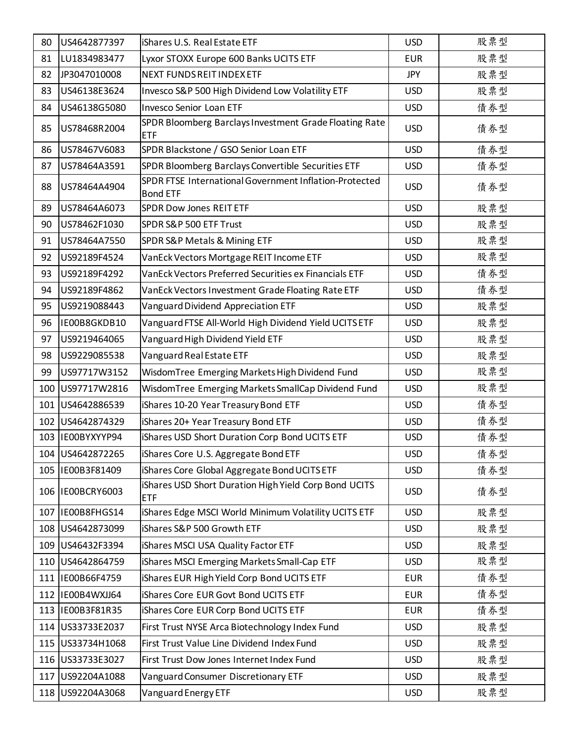| 80  | US4642877397      | <b>iShares U.S. Real Estate ETF</b>                                       | <b>USD</b> | 股票型 |
|-----|-------------------|---------------------------------------------------------------------------|------------|-----|
| 81  | LU1834983477      | Lyxor STOXX Europe 600 Banks UCITS ETF                                    | <b>EUR</b> | 股票型 |
| 82  | JP3047010008      | <b>NEXT FUNDS REIT INDEX ETF</b>                                          | <b>JPY</b> | 股票型 |
| 83  | US46138E3624      | Invesco S&P 500 High Dividend Low Volatility ETF                          | <b>USD</b> | 股票型 |
| 84  | US46138G5080      | <b>Invesco Senior Loan ETF</b>                                            | <b>USD</b> | 債券型 |
| 85  | US78468R2004      | SPDR Bloomberg Barclays Investment Grade Floating Rate<br>ETF             | <b>USD</b> | 債券型 |
| 86  | US78467V6083      | SPDR Blackstone / GSO Senior Loan ETF                                     | <b>USD</b> | 債券型 |
| 87  | US78464A3591      | SPDR Bloomberg Barclays Convertible Securities ETF                        | <b>USD</b> | 債券型 |
| 88  | US78464A4904      | SPDR FTSE International Government Inflation-Protected<br><b>Bond ETF</b> | <b>USD</b> | 債券型 |
| 89  | US78464A6073      | <b>SPDR Dow Jones REIT ETF</b>                                            | <b>USD</b> | 股票型 |
| 90  | US78462F1030      | SPDR S&P 500 ETF Trust                                                    | <b>USD</b> | 股票型 |
| 91  | US78464A7550      | SPDR S&P Metals & Mining ETF                                              | <b>USD</b> | 股票型 |
| 92  | US92189F4524      | VanEck Vectors Mortgage REIT Income ETF                                   | <b>USD</b> | 股票型 |
| 93  | US92189F4292      | VanEck Vectors Preferred Securities ex Financials ETF                     | <b>USD</b> | 債券型 |
| 94  | US92189F4862      | VanEck Vectors Investment Grade Floating Rate ETF                         | <b>USD</b> | 債券型 |
| 95  | US9219088443      | Vanguard Dividend Appreciation ETF                                        | <b>USD</b> | 股票型 |
| 96  | IE00B8GKDB10      | Vanguard FTSE All-World High Dividend Yield UCITS ETF                     | <b>USD</b> | 股票型 |
| 97  | US9219464065      | Vanguard High Dividend Yield ETF                                          | <b>USD</b> | 股票型 |
| 98  | US9229085538      | Vanguard Real Estate ETF                                                  | <b>USD</b> | 股票型 |
| 99  | US97717W3152      | WisdomTree Emerging Markets High Dividend Fund                            | <b>USD</b> | 股票型 |
| 100 | US97717W2816      | WisdomTree Emerging Markets SmallCap Dividend Fund                        | <b>USD</b> | 股票型 |
| 101 | US4642886539      | iShares 10-20 Year Treasury Bond ETF                                      | <b>USD</b> | 債券型 |
| 102 | US4642874329      | iShares 20+ Year Treasury Bond ETF                                        | <b>USD</b> | 債券型 |
| 103 | IE00BYXYYP94      | iShares USD Short Duration Corp Bond UCITS ETF                            | <b>USD</b> | 債券型 |
|     | 104 US4642872265  | iShares Core U.S. Aggregate Bond ETF                                      | <b>USD</b> | 債券型 |
|     | 105  IE00B3F81409 | iShares Core Global Aggregate Bond UCITS ETF                              | <b>USD</b> | 債券型 |
|     | 106 IE00BCRY6003  | Shares USD Short Duration High Yield Corp Bond UCITS<br>ETF               | <b>USD</b> | 債券型 |
| 107 | IE00B8FHGS14      | iShares Edge MSCI World Minimum Volatility UCITS ETF                      | <b>USD</b> | 股票型 |
| 108 | US4642873099      | iShares S&P 500 Growth ETF                                                | <b>USD</b> | 股票型 |
|     | 109 US46432F3394  | iShares MSCI USA Quality Factor ETF                                       | <b>USD</b> | 股票型 |
|     | 110 US4642864759  | iShares MSCI Emerging Markets Small-Cap ETF                               | <b>USD</b> | 股票型 |
|     | 111 IE00B66F4759  | <b>iShares EUR High Yield Corp Bond UCITS ETF</b>                         | <b>EUR</b> | 債券型 |
| 112 | IE00B4WXJJ64      | <b>iShares Core EUR Govt Bond UCITS ETF</b>                               | <b>EUR</b> | 債券型 |
| 113 | IE00B3F81R35      | <b>iShares Core EUR Corp Bond UCITS ETF</b>                               | <b>EUR</b> | 債券型 |
|     | 114 US33733E2037  | First Trust NYSE Arca Biotechnology Index Fund                            | <b>USD</b> | 股票型 |
|     | 115 US33734H1068  | First Trust Value Line Dividend Index Fund                                | <b>USD</b> | 股票型 |
|     | 116 US33733E3027  | First Trust Dow Jones Internet Index Fund                                 | <b>USD</b> | 股票型 |
| 117 | US92204A1088      | Vanguard Consumer Discretionary ETF                                       | <b>USD</b> | 股票型 |
|     | 118 US92204A3068  | Vanguard Energy ETF                                                       | <b>USD</b> | 股票型 |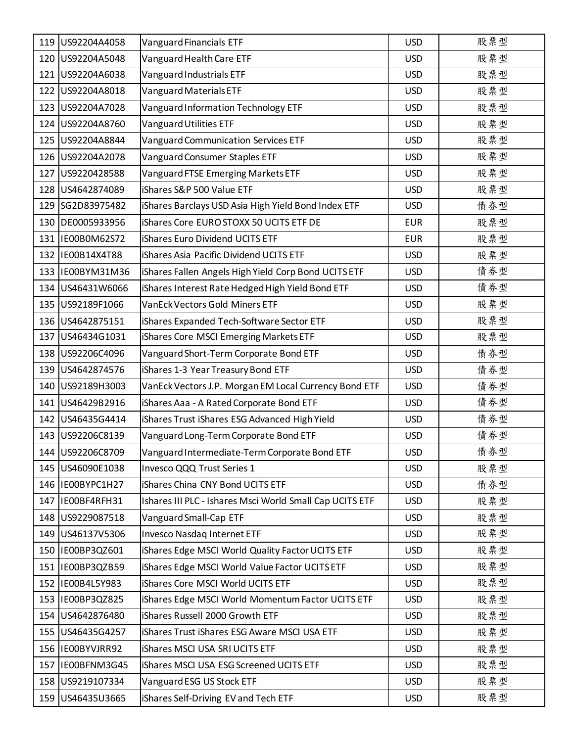| 119 US92204A4058  | Vanguard Financials ETF                                  | <b>USD</b> | 股票型 |
|-------------------|----------------------------------------------------------|------------|-----|
| 120 US92204A5048  | Vanguard Health Care ETF                                 | <b>USD</b> | 股票型 |
| 121 US92204A6038  | Vanguard Industrials ETF                                 | <b>USD</b> | 股票型 |
| 122 US92204A8018  | Vanguard Materials ETF                                   | <b>USD</b> | 股票型 |
| 123 US92204A7028  | Vanguard Information Technology ETF                      | <b>USD</b> | 股票型 |
| 124 US92204A8760  | Vanguard Utilities ETF                                   | <b>USD</b> | 股票型 |
| 125 US92204A8844  | Vanguard Communication Services ETF                      | <b>USD</b> | 股票型 |
| 126 US92204A2078  | Vanguard Consumer Staples ETF                            | <b>USD</b> | 股票型 |
| 127 US9220428588  | Vanguard FTSE Emerging Markets ETF                       | <b>USD</b> | 股票型 |
| 128 US4642874089  | iShares S&P 500 Value ETF                                | <b>USD</b> | 股票型 |
| 129 SG2D83975482  | iShares Barclays USD Asia High Yield Bond Index ETF      | <b>USD</b> | 債券型 |
| 130 DE0005933956  | <b>iShares Core EURO STOXX 50 UCITS ETF DE</b>           | <b>EUR</b> | 股票型 |
| 131  IE00B0M62S72 | <b>iShares Euro Dividend UCITS ETF</b>                   | <b>EUR</b> | 股票型 |
| 132 IE00B14X4T88  | iShares Asia Pacific Dividend UCITS ETF                  | <b>USD</b> | 股票型 |
| 133 IE00BYM31M36  | iShares Fallen Angels High Yield Corp Bond UCITS ETF     | <b>USD</b> | 債券型 |
| 134 US46431W6066  | iShares Interest Rate Hedged High Yield Bond ETF         | <b>USD</b> | 債券型 |
| 135 US92189F1066  | VanEck Vectors Gold Miners ETF                           | <b>USD</b> | 股票型 |
| 136 US4642875151  | iShares Expanded Tech-Software Sector ETF                | <b>USD</b> | 股票型 |
| 137 US46434G1031  | iShares Core MSCI Emerging Markets ETF                   | <b>USD</b> | 股票型 |
| 138 US92206C4096  | Vanguard Short-Term Corporate Bond ETF                   | <b>USD</b> | 債券型 |
| 139 US4642874576  | iShares 1-3 Year Treasury Bond ETF                       | <b>USD</b> | 債券型 |
| 140 US92189H3003  | VanEck Vectors J.P. Morgan EM Local Currency Bond ETF    | <b>USD</b> | 債券型 |
| 141 US46429B2916  | iShares Aaa - A Rated Corporate Bond ETF                 | <b>USD</b> | 債券型 |
| 142 US46435G4414  | iShares Trust iShares ESG Advanced High Yield            | <b>USD</b> | 債券型 |
| 143 US92206C8139  | Vanguard Long-Term Corporate Bond ETF                    | <b>USD</b> | 債券型 |
| 144 US92206C8709  | Vanguard Intermediate-Term Corporate Bond ETF            | <b>USD</b> | 債券型 |
| 145 US46090E1038  | Invesco QQQ Trust Series 1                               | <b>USD</b> | 股票型 |
| 146 IE00BYPC1H27  | iShares China CNY Bond UCITS ETF                         | <b>USD</b> | 債券型 |
| 147 IE00BF4RFH31  | Ishares III PLC - Ishares Msci World Small Cap UCITS ETF | <b>USD</b> | 股票型 |
| 148 US9229087518  | Vanguard Small-Cap ETF                                   | <b>USD</b> | 股票型 |
| 149 US46137V5306  | Invesco Nasdaq Internet ETF                              | <b>USD</b> | 股票型 |
| 150  IE00BP3QZ601 | Shares Edge MSCI World Quality Factor UCITS ETF          | <b>USD</b> | 股票型 |
| 151  IE00BP3QZB59 | iShares Edge MSCI World Value Factor UCITS ETF           | <b>USD</b> | 股票型 |
| 152 IE00B4L5Y983  | iShares Core MSCI World UCITS ETF                        | <b>USD</b> | 股票型 |
| 153  IE00BP3QZ825 | iShares Edge MSCI World Momentum Factor UCITS ETF        | <b>USD</b> | 股票型 |
| 154 US4642876480  | iShares Russell 2000 Growth ETF                          | <b>USD</b> | 股票型 |
| 155 US46435G4257  | iShares Trust iShares ESG Aware MSCI USA ETF             | <b>USD</b> | 股票型 |
| 156 IE00BYVJRR92  | iShares MSCI USA SRI UCITS ETF                           | <b>USD</b> | 股票型 |
| 157 IE00BFNM3G45  | iShares MSCI USA ESG Screened UCITS ETF                  | <b>USD</b> | 股票型 |
| 158 US9219107334  | Vanguard ESG US Stock ETF                                | <b>USD</b> | 股票型 |
| 159 US46435U3665  | iShares Self-Driving EV and Tech ETF                     | <b>USD</b> | 股票型 |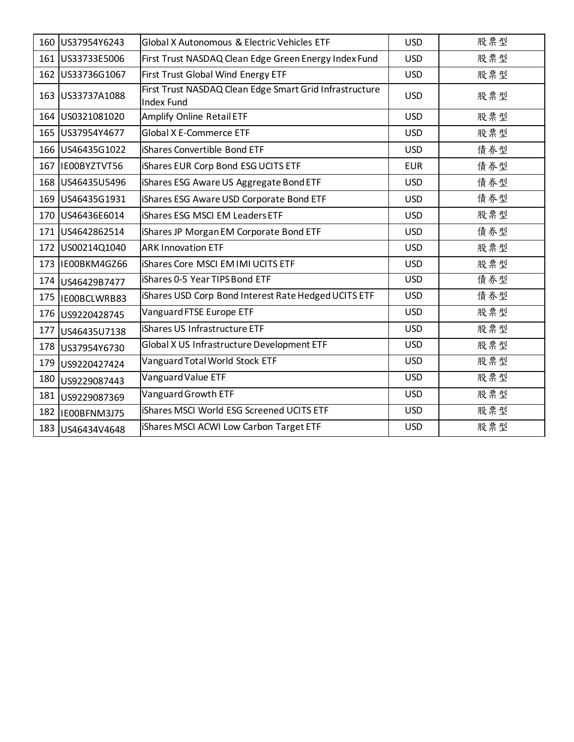|     | 160 US37954Y6243   | Global X Autonomous & Electric Vehicles ETF                                  | <b>USD</b> | 股票型 |
|-----|--------------------|------------------------------------------------------------------------------|------------|-----|
|     | 161 US33733E5006   | First Trust NASDAQ Clean Edge Green Energy Index Fund                        | <b>USD</b> | 股票型 |
|     | 162 US33736G1067   | First Trust Global Wind Energy ETF                                           | <b>USD</b> | 股票型 |
|     | 163 US33737A1088   | First Trust NASDAQ Clean Edge Smart Grid Infrastructure<br><b>Index Fund</b> | <b>USD</b> | 股票型 |
|     | 164 US0321081020   | Amplify Online Retail ETF                                                    | <b>USD</b> | 股票型 |
|     | 165 US37954Y4677   | Global X E-Commerce ETF                                                      | <b>USD</b> | 股票型 |
|     | 166 US46435G1022   | iShares Convertible Bond ETF                                                 | <b>USD</b> | 債券型 |
|     | 167 IE00BYZTVT56   | <b>iShares EUR Corp Bond ESG UCITS ETF</b>                                   | <b>EUR</b> | 債券型 |
|     | 168 US46435U5496   | iShares ESG Aware US Aggregate Bond ETF                                      | <b>USD</b> | 債券型 |
| 169 | US46435G1931       | iShares ESG Aware USD Corporate Bond ETF                                     | <b>USD</b> | 債券型 |
|     | 170 US46436E6014   | iShares ESG MSCI EM Leaders ETF                                              | <b>USD</b> | 股票型 |
|     | 171 US4642862514   | iShares JP Morgan EM Corporate Bond ETF                                      | <b>USD</b> | 債券型 |
|     | 172 US00214Q1040   | <b>ARK Innovation ETF</b>                                                    | <b>USD</b> | 股票型 |
|     | 173 IE00BKM4GZ66   | <b>iShares Core MSCI EM IMI UCITS ETF</b>                                    | <b>USD</b> | 股票型 |
|     | 174 US46429B7477   | iShares 0-5 Year TIPS Bond ETF                                               | <b>USD</b> | 債券型 |
|     | 175   IEOOBCLWRB83 | iShares USD Corp Bond Interest Rate Hedged UCITS ETF                         | <b>USD</b> | 債券型 |
|     | 176 US9220428745   | Vanguard FTSE Europe ETF                                                     | <b>USD</b> | 股票型 |
| 177 | US46435U7138       | iShares US Infrastructure ETF                                                | <b>USD</b> | 股票型 |
| 178 | US37954Y6730       | Global X US Infrastructure Development ETF                                   | <b>USD</b> | 股票型 |
| 179 | US9220427424       | Vanguard Total World Stock ETF                                               | <b>USD</b> | 股票型 |
| 180 | US9229087443       | Vanguard Value ETF                                                           | <b>USD</b> | 股票型 |
| 181 | US9229087369       | Vanguard Growth ETF                                                          | <b>USD</b> | 股票型 |
| 182 | IE00BFNM3J75       | iShares MSCI World ESG Screened UCITS ETF                                    | <b>USD</b> | 股票型 |
|     | 183 US46434V4648   | iShares MSCI ACWI Low Carbon Target ETF                                      | <b>USD</b> | 股票型 |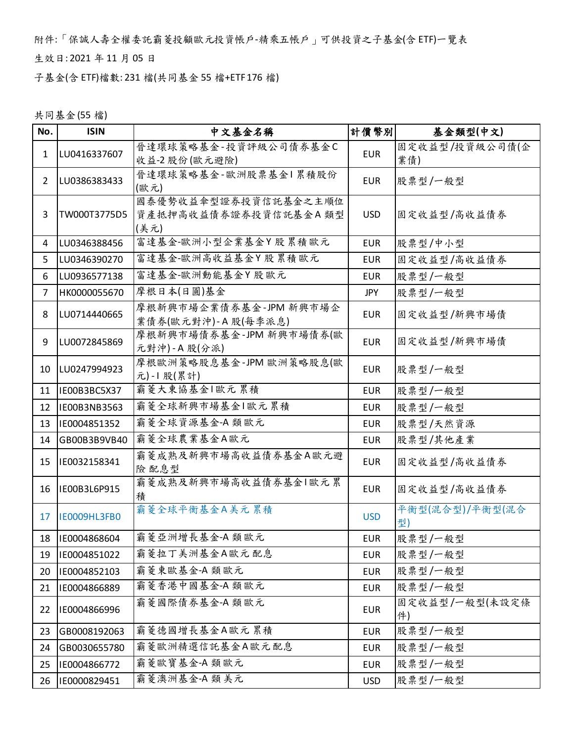附件:「保誠人壽全權委託霸菱投顧歐元投資帳戶-精乘五帳戶」可供投資之子基金(含 ETF)一覽表

生效日: 2021 年 11 月 05 日

子基金(含 ETF)檔數: 231 檔(共同基金 55 檔+ETF 176 檔)

共同基金(55 檔)

| No.            | <b>ISIN</b>  | 中文基金名稱                                               | 計價幣別       | 基金類型(中文)              |
|----------------|--------------|------------------------------------------------------|------------|-----------------------|
| 1              | LU0416337607 | 晉達環球策略基金-投資評級公司債券基金C                                 | <b>EUR</b> | 固定收益型/投資級公司債(企        |
|                |              | 收益-2股份(歐元避險)                                         |            | 業債)                   |
| 2              | LU0386383433 | 晉達環球策略基金-歐洲股票基金1累積股份<br>(歐元)                         | <b>EUR</b> | 股票型/一般型               |
| 3              | TW000T3775D5 | 國泰優勢收益傘型證券投資信託基金之主順位<br>資產抵押高收益債券證券投資信託基金A類型<br>(美元) | <b>USD</b> | 固定收益型/高收益債券           |
| 4              | LU0346388456 | 富達基金-歐洲小型企業基金Y股累積歐元                                  | <b>EUR</b> | 股票型/中小型               |
| 5              | LU0346390270 | 富達基金-歐洲高收益基金Y股累積歐元                                   | <b>EUR</b> | 固定收益型/高收益债券           |
| 6              | LU0936577138 | 富達基金-歐洲動能基金Y股歐元                                      | <b>EUR</b> | 股票型/一般型               |
| $\overline{7}$ | HK0000055670 | 摩根日本(日圓)基金                                           | <b>JPY</b> | 股票型/一般型               |
| 8              | LU0714440665 | 摩根新興市場企業債券基金-JPM 新興市場企<br>業債券(歐元對沖)-A股(每季派息)         | <b>EUR</b> | 固定收益型/新興市場債           |
| 9              | LU0072845869 | 摩根新興市場債券基金-JPM 新興市場債券(歐<br>元對沖)-A股(分派)               | <b>EUR</b> | 固定收益型/新興市場債           |
| 10             | LU0247994923 | 摩根歐洲策略股息基金-JPM 歐洲策略股息(歐<br>元)-1 股(累計)                | <b>EUR</b> | 股票型/一般型               |
| 11             | IE00B3BC5X37 | 霸菱大東協基金1歐元累積                                         | <b>EUR</b> | 股票型/一般型               |
| 12             | IE00B3NB3563 | 霸菱全球新興市場基金1歐元累積                                      | <b>EUR</b> | 股票型/一般型               |
| 13             | IE0004851352 | 霸菱全球資源基金-A 類歐元                                       | <b>EUR</b> | 股票型/天然資源              |
| 14             | GB00B3B9VB40 | 霸菱全球農業基金A歐元                                          | <b>EUR</b> | 股票型/其他產業              |
| 15             | IE0032158341 | 霸菱成熟及新興市場高收益債券基金A歐元避<br>險 配息型                        | <b>EUR</b> | 固定收益型/高收益债券           |
| 16             | IE00B3L6P915 | 霸菱成熟及新興市場高收益債券基金1歐元累<br>積                            | <b>EUR</b> | 固定收益型/高收益债券           |
| 17             | IE0009HL3FB0 | 霸菱全球平衡基金A美元累積                                        | <b>USD</b> | 平衡型(混合型)/平衡型(混合<br>型) |
| 18             | IE0004868604 | 霸菱亞洲增長基金-A 類歐元                                       | <b>EUR</b> | 股票型/一般型               |
| 19             | IE0004851022 | 霸菱拉丁美洲基金A歐元配息                                        | <b>EUR</b> | 股票型/一般型               |
| 20             | IE0004852103 | 霸菱東歐基金-A 類歐元                                         | <b>EUR</b> | 股票型/一般型               |
| 21             | IE0004866889 | 霸菱香港中國基金-A 類歐元                                       | <b>EUR</b> | 股票型/一般型               |
| 22             | IE0004866996 | 霸菱國際債券基金-A 類歐元                                       | <b>EUR</b> | 固定收益型/一般型(未設定條<br>件)  |
| 23             | GB0008192063 | 霸菱德國增長基金A歐元累積                                        | <b>EUR</b> | 股票型/一般型               |
| 24             | GB0030655780 | 霸菱歐洲精選信託基金A歐元配息                                      | <b>EUR</b> | 股票型/一般型               |
| 25             | IE0004866772 | 霸菱歐寶基金-A 類歐元                                         | <b>EUR</b> | 股票型/一般型               |
| 26             | IE0000829451 | 霸菱澳洲基金-A 類美元                                         | <b>USD</b> | 股票型/一般型               |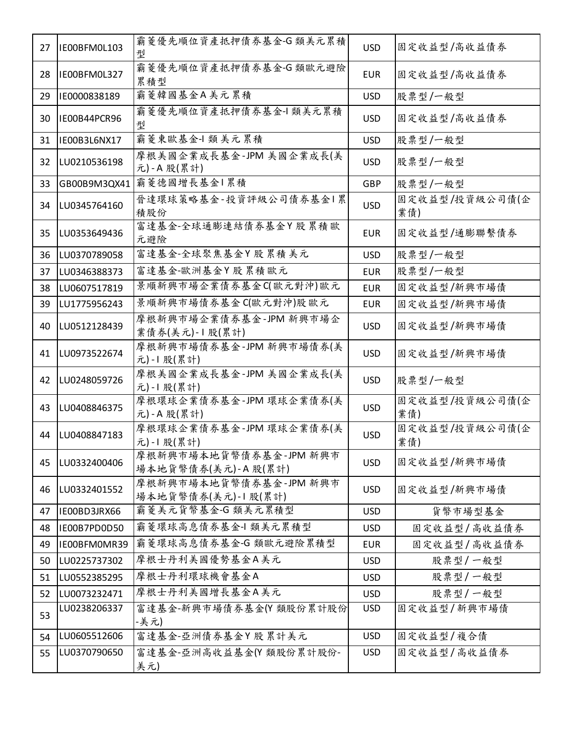| 27 | IE00BFM0L103 | 霸菱優先順位資產抵押債券基金-G 類美元累積<br>型                  | <b>USD</b> | 固定收益型/高收益債券           |
|----|--------------|----------------------------------------------|------------|-----------------------|
| 28 | IE00BFM0L327 | 霸菱優先順位資產抵押債券基金-G類歐元避險<br>累積型                 | <b>EUR</b> | 固定收益型/高收益債券           |
| 29 | IE0000838189 | 霸菱韓國基金A美元累積                                  | <b>USD</b> | 股票型/一般型               |
| 30 | IE00B44PCR96 | 霸菱優先順位資產抵押債券基金-l 類美元累積<br>型                  | <b>USD</b> | 固定收益型/高收益債券           |
| 31 | IE00B3L6NX17 | 霸菱東歐基金-1 類美元累積                               | <b>USD</b> | 股票型/一般型               |
| 32 | LU0210536198 | 摩根美國企業成長基金-JPM 美國企業成長(美<br>元)-A股(累計)         | <b>USD</b> | 股票型/一般型               |
| 33 | GB00B9M3QX41 | 霸菱德國增長基金 累積                                  | <b>GBP</b> | 股票型/一般型               |
| 34 | LU0345764160 | 晉達環球策略基金-投資評級公司債券基金1累<br>積股份                 | <b>USD</b> | 固定收益型/投資級公司債(企<br>業債) |
| 35 | LU0353649436 | 富達基金-全球通膨連結債券基金Y股累積歐<br>元避險                  | <b>EUR</b> | 固定收益型/通膨聯繫債券          |
| 36 | LU0370789058 | 富達基金-全球聚焦基金Y股累積美元                            | <b>USD</b> | 股票型/一般型               |
| 37 | LU0346388373 | 富達基金-歐洲基金Y股累積歐元                              | <b>EUR</b> | 股票型/一般型               |
| 38 | LU0607517819 | 景順新興市場企業債券基金C(歐元對沖)歐元                        | <b>EUR</b> | 固定收益型/新興市場債           |
| 39 | LU1775956243 | 景順新興市場債券基金 C(歐元對沖)股歐元                        | <b>EUR</b> | 固定收益型/新興市場債           |
| 40 | LU0512128439 | 摩根新興市場企業債券基金-JPM 新興市場企<br>業債券(美元)-1股(累計)     | <b>USD</b> | 固定收益型/新興市場債           |
| 41 | LU0973522674 | 摩根新興市場債券基金-JPM 新興市場債券(美<br>元)-1 股(累計)        | <b>USD</b> | 固定收益型/新興市場債           |
| 42 | LU0248059726 | 摩根美國企業成長基金-JPM 美國企業成長(美<br>元)-1 股(累計)        | <b>USD</b> | 股票型/一般型               |
| 43 | LU0408846375 | 摩根環球企業債券基金-JPM 環球企業債券(美<br>元)-A股(累計)         | <b>USD</b> | 固定收益型/投資級公司債(企<br>業債) |
| 44 | LU0408847183 | 摩根環球企業債券基金-JPM 環球企業債券(美<br>元)-1 股(累計)        | <b>USD</b> | 固定收益型/投資級公司債(企<br>業債) |
| 45 | LU0332400406 | 摩根新興市場本地貨幣債券基金-JPM 新興市<br>場本地貨幣債券(美元)-A股(累計) | <b>USD</b> | 固定收益型/新興市場債           |
| 46 | LU0332401552 | 摩根新興市場本地貨幣債券基金-JPM 新興市<br>場本地貨幣債券(美元)-1股(累計) | <b>USD</b> | 固定收益型/新興市場債           |
| 47 | IE00BD3JRX66 | 霸菱美元貨幣基金-G 類美元累積型                            | <b>USD</b> | 貨幣市場型基金               |
| 48 | IE00B7PD0D50 | 霸菱環球高息債券基金-1 類美元累積型                          | <b>USD</b> | 固定收益型/高收益債券           |
| 49 | IE00BFM0MR39 | 霸菱環球高息債券基金-G 類歐元避險累積型                        | EUR        | 固定收益型/高收益債券           |
| 50 | LU0225737302 | 摩根士丹利美國優勢基金A美元                               | <b>USD</b> | 股票型/一般型               |
| 51 | LU0552385295 | 摩根士丹利環球機會基金A                                 | <b>USD</b> | 股票型/一般型               |
| 52 | LU0073232471 | 摩根士丹利美國增長基金A美元                               | <b>USD</b> | 股票型/一般型               |
| 53 | LU0238206337 | 富達基金-新興市場債券基金(Y 類股份累計股份<br>-美元)              | <b>USD</b> | 固定收益型/新興市場債           |
| 54 | LU0605512606 | 富達基金-亞洲債券基金Y 股累計美元                           | <b>USD</b> | 固定收益型/複合債             |
| 55 | LU0370790650 | 富達基金-亞洲高收益基金(Y 類股份累計股份-<br>美元)               | <b>USD</b> | 固定收益型/高收益債券           |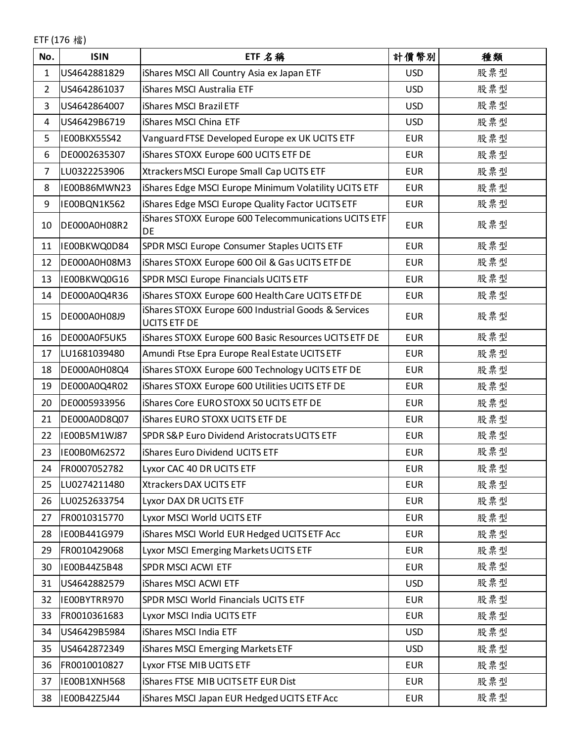ETF (176 檔)

| No.            | <b>ISIN</b>  | ETF 名稱                                                                      | 計價幣別       | 種類  |
|----------------|--------------|-----------------------------------------------------------------------------|------------|-----|
| 1              | US4642881829 | iShares MSCI All Country Asia ex Japan ETF                                  | <b>USD</b> | 股票型 |
| $\overline{2}$ | US4642861037 | iShares MSCI Australia ETF                                                  | <b>USD</b> | 股票型 |
| 3              | US4642864007 | iShares MSCI Brazil ETF                                                     | <b>USD</b> | 股票型 |
| 4              | US46429B6719 | iShares MSCI China ETF                                                      | <b>USD</b> | 股票型 |
| 5              | IE00BKX55S42 | Vanguard FTSE Developed Europe ex UK UCITS ETF                              | <b>EUR</b> | 股票型 |
| 6              | DE0002635307 | iShares STOXX Europe 600 UCITS ETF DE                                       | <b>EUR</b> | 股票型 |
| $\overline{7}$ | LU0322253906 | Xtrackers MSCI Europe Small Cap UCITS ETF                                   | <b>EUR</b> | 股票型 |
| 8              | IE00B86MWN23 | iShares Edge MSCI Europe Minimum Volatility UCITS ETF                       | <b>EUR</b> | 股票型 |
| 9              | IE00BQN1K562 | iShares Edge MSCI Europe Quality Factor UCITS ETF                           | <b>EUR</b> | 股票型 |
| 10             | DE000A0H08R2 | iShares STOXX Europe 600 Telecommunications UCITS ETF<br><b>DE</b>          | <b>EUR</b> | 股票型 |
| 11             | IE00BKWQ0D84 | SPDR MSCI Europe Consumer Staples UCITS ETF                                 | <b>EUR</b> | 股票型 |
| 12             | DE000A0H08M3 | iShares STOXX Europe 600 Oil & Gas UCITS ETF DE                             | <b>EUR</b> | 股票型 |
| 13             | IE00BKWQ0G16 | SPDR MSCI Europe Financials UCITS ETF                                       | <b>EUR</b> | 股票型 |
| 14             | DE000A0Q4R36 | iShares STOXX Europe 600 Health Care UCITS ETF DE                           | <b>EUR</b> | 股票型 |
| 15             | DE000A0H08J9 | iShares STOXX Europe 600 Industrial Goods & Services<br><b>UCITS ETF DE</b> | <b>EUR</b> | 股票型 |
| 16             | DE000A0F5UK5 | iShares STOXX Europe 600 Basic Resources UCITS ETF DE                       | <b>EUR</b> | 股票型 |
| 17             | LU1681039480 | Amundi Ftse Epra Europe Real Estate UCITS ETF                               | <b>EUR</b> | 股票型 |
| 18             | DE000A0H08Q4 | iShares STOXX Europe 600 Technology UCITS ETF DE                            | <b>EUR</b> | 股票型 |
| 19             | DE000A0Q4R02 | iShares STOXX Europe 600 Utilities UCITS ETF DE                             | <b>EUR</b> | 股票型 |
| 20             | DE0005933956 | iShares Core EURO STOXX 50 UCITS ETF DE                                     | <b>EUR</b> | 股票型 |
| 21             | DE000A0D8Q07 | iShares EURO STOXX UCITS ETF DE                                             | <b>EUR</b> | 股票型 |
| 22             | IE00B5M1WJ87 | SPDR S&P Euro Dividend Aristocrats UCITS ETF                                | <b>EUR</b> | 股票型 |
| 23             | IE00B0M62S72 | iShares Euro Dividend UCITS ETF                                             | <b>EUR</b> | 股票型 |
| 24             | FR0007052782 | Lyxor CAC 40 DR UCITS ETF                                                   | <b>EUR</b> | 股票型 |
| 25             | LU0274211480 | Xtrackers DAX UCITS ETF                                                     | <b>EUR</b> | 股票型 |
| 26             | LU0252633754 | Lyxor DAX DR UCITS ETF                                                      | <b>EUR</b> | 股票型 |
| 27             | FR0010315770 | Lyxor MSCI World UCITS ETF                                                  | <b>EUR</b> | 股票型 |
| 28             | IE00B441G979 | iShares MSCI World EUR Hedged UCITS ETF Acc                                 | <b>EUR</b> | 股票型 |
| 29             | FR0010429068 | Lyxor MSCI Emerging Markets UCITS ETF                                       | <b>EUR</b> | 股票型 |
| 30             | IE00B44Z5B48 | SPDR MSCI ACWI ETF                                                          | <b>EUR</b> | 股票型 |
| 31             | US4642882579 | iShares MSCI ACWI ETF                                                       | <b>USD</b> | 股票型 |
| 32             | IE00BYTRR970 | SPDR MSCI World Financials UCITS ETF                                        | <b>EUR</b> | 股票型 |
| 33             | FR0010361683 | Lyxor MSCI India UCITS ETF                                                  | <b>EUR</b> | 股票型 |
| 34             | US46429B5984 | iShares MSCI India ETF                                                      | <b>USD</b> | 股票型 |
| 35             | US4642872349 | iShares MSCI Emerging Markets ETF                                           | <b>USD</b> | 股票型 |
| 36             | FR0010010827 | Lyxor FTSE MIB UCITS ETF                                                    | <b>EUR</b> | 股票型 |
| 37             | IE00B1XNH568 | iShares FTSE MIB UCITS ETF EUR Dist                                         | <b>EUR</b> | 股票型 |
| 38             | IE00B42Z5J44 | iShares MSCI Japan EUR Hedged UCITS ETF Acc                                 | <b>EUR</b> | 股票型 |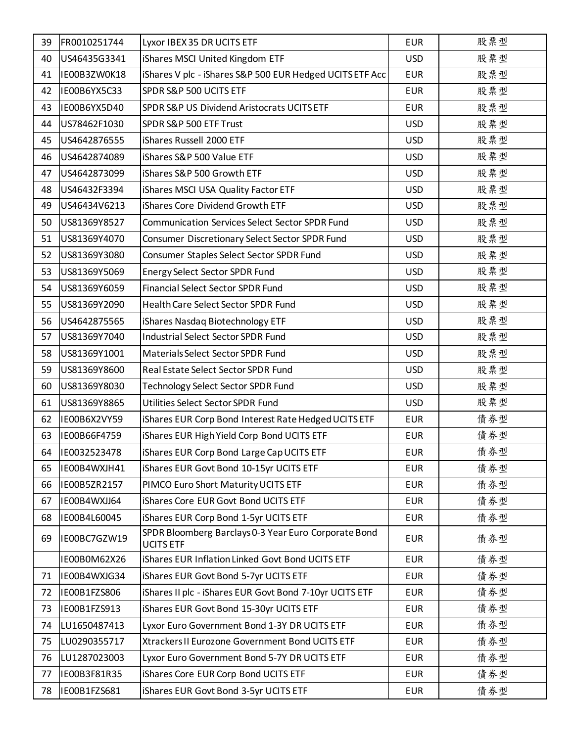| 39 | FR0010251744 | Lyxor IBEX 35 DR UCITS ETF                                               | <b>EUR</b> | 股票型 |
|----|--------------|--------------------------------------------------------------------------|------------|-----|
| 40 | US46435G3341 | iShares MSCI United Kingdom ETF                                          | <b>USD</b> | 股票型 |
| 41 | IE00B3ZW0K18 | iShares V plc - iShares S&P 500 EUR Hedged UCITS ETF Acc                 | <b>EUR</b> | 股票型 |
| 42 | IE00B6YX5C33 | SPDR S&P 500 UCITS ETF                                                   | <b>EUR</b> | 股票型 |
| 43 | IE00B6YX5D40 | SPDR S&P US Dividend Aristocrats UCITS ETF                               | <b>EUR</b> | 股票型 |
| 44 | US78462F1030 | SPDR S&P 500 ETF Trust                                                   | <b>USD</b> | 股票型 |
| 45 | US4642876555 | iShares Russell 2000 ETF                                                 | <b>USD</b> | 股票型 |
| 46 | US4642874089 | iShares S&P 500 Value ETF                                                | <b>USD</b> | 股票型 |
| 47 | US4642873099 | iShares S&P 500 Growth ETF                                               | <b>USD</b> | 股票型 |
| 48 | US46432F3394 | iShares MSCI USA Quality Factor ETF                                      | <b>USD</b> | 股票型 |
| 49 | US46434V6213 | iShares Core Dividend Growth ETF                                         | <b>USD</b> | 股票型 |
| 50 | US81369Y8527 | <b>Communication Services Select Sector SPDR Fund</b>                    | <b>USD</b> | 股票型 |
| 51 | US81369Y4070 | Consumer Discretionary Select Sector SPDR Fund                           | <b>USD</b> | 股票型 |
| 52 | US81369Y3080 | Consumer Staples Select Sector SPDR Fund                                 | <b>USD</b> | 股票型 |
| 53 | US81369Y5069 | <b>Energy Select Sector SPDR Fund</b>                                    | <b>USD</b> | 股票型 |
| 54 | US81369Y6059 | Financial Select Sector SPDR Fund                                        | <b>USD</b> | 股票型 |
| 55 | US81369Y2090 | Health Care Select Sector SPDR Fund                                      | <b>USD</b> | 股票型 |
| 56 | US4642875565 | iShares Nasdaq Biotechnology ETF                                         | <b>USD</b> | 股票型 |
| 57 | US81369Y7040 | Industrial Select Sector SPDR Fund                                       | <b>USD</b> | 股票型 |
| 58 | US81369Y1001 | Materials Select Sector SPDR Fund                                        | <b>USD</b> | 股票型 |
| 59 | US81369Y8600 | Real Estate Select Sector SPDR Fund                                      | <b>USD</b> | 股票型 |
| 60 | US81369Y8030 | <b>Technology Select Sector SPDR Fund</b>                                | <b>USD</b> | 股票型 |
| 61 | US81369Y8865 | Utilities Select Sector SPDR Fund                                        | <b>USD</b> | 股票型 |
| 62 | IE00B6X2VY59 | iShares EUR Corp Bond Interest Rate Hedged UCITS ETF                     | <b>EUR</b> | 債券型 |
| 63 | IE00B66F4759 | iShares EUR High Yield Corp Bond UCITS ETF                               | <b>EUR</b> | 債券型 |
| 64 | IE0032523478 | iShares EUR Corp Bond Large Cap UCITS ETF                                | <b>EUR</b> | 債券型 |
| 65 | IE00B4WXJH41 | iShares EUR Govt Bond 10-15yr UCITS ETF                                  | <b>EUR</b> | 債券型 |
| 66 | IE00B5ZR2157 | PIMCO Euro Short Maturity UCITS ETF                                      | <b>EUR</b> | 債券型 |
| 67 | IE00B4WXJJ64 | iShares Core EUR Govt Bond UCITS ETF                                     | <b>EUR</b> | 債券型 |
| 68 | IE00B4L60045 | iShares EUR Corp Bond 1-5yr UCITS ETF                                    | <b>EUR</b> | 債券型 |
| 69 | IE00BC7GZW19 | SPDR Bloomberg Barclays 0-3 Year Euro Corporate Bond<br><b>UCITS ETF</b> | <b>EUR</b> | 債券型 |
|    | IE00B0M62X26 | iShares EUR Inflation Linked Govt Bond UCITS ETF                         | <b>EUR</b> | 債券型 |
| 71 | IE00B4WXJG34 | iShares EUR Govt Bond 5-7yr UCITS ETF                                    | <b>EUR</b> | 債券型 |
| 72 | IE00B1FZS806 | iShares II plc - iShares EUR Govt Bond 7-10yr UCITS ETF                  | <b>EUR</b> | 債券型 |
| 73 | IE00B1FZS913 | iShares EUR Govt Bond 15-30yr UCITS ETF                                  | <b>EUR</b> | 債券型 |
| 74 | LU1650487413 | Lyxor Euro Government Bond 1-3Y DR UCITS ETF                             | <b>EUR</b> | 債券型 |
| 75 | LU0290355717 | Xtrackers II Eurozone Government Bond UCITS ETF                          | <b>EUR</b> | 債券型 |
| 76 | LU1287023003 | Lyxor Euro Government Bond 5-7Y DR UCITS ETF                             | <b>EUR</b> | 債券型 |
| 77 | IE00B3F81R35 | iShares Core EUR Corp Bond UCITS ETF                                     | <b>EUR</b> | 債券型 |
| 78 | IE00B1FZS681 | iShares EUR Govt Bond 3-5yr UCITS ETF                                    | <b>EUR</b> | 債券型 |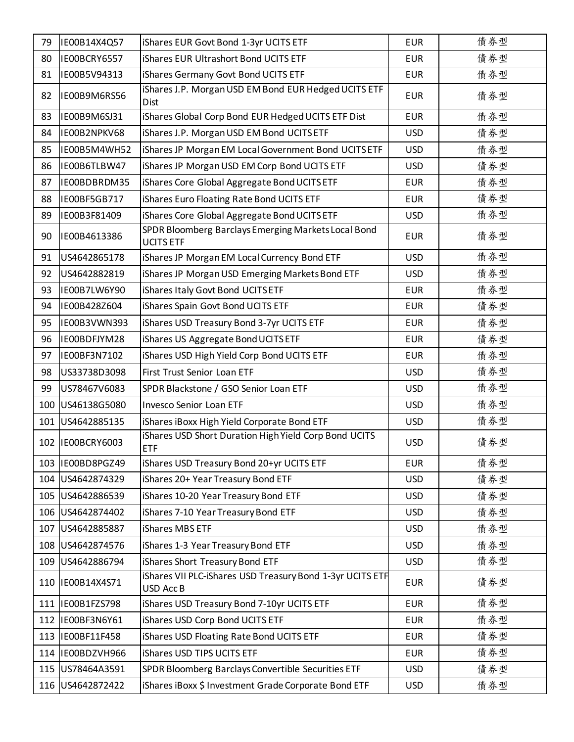| 79  | IE00B14X4Q57       | iShares EUR Govt Bond 1-3yr UCITS ETF                                   | <b>EUR</b> | 債券型 |
|-----|--------------------|-------------------------------------------------------------------------|------------|-----|
| 80  | IE00BCRY6557       | iShares EUR Ultrashort Bond UCITS ETF                                   | <b>EUR</b> | 債券型 |
| 81  | IE00B5V94313       | iShares Germany Govt Bond UCITS ETF                                     | <b>EUR</b> | 債券型 |
| 82  | IE00B9M6RS56       | iShares J.P. Morgan USD EM Bond EUR Hedged UCITS ETF<br><b>Dist</b>     | <b>EUR</b> | 債券型 |
| 83  | IE00B9M6SJ31       | iShares Global Corp Bond EUR Hedged UCITS ETF Dist                      | <b>EUR</b> | 債券型 |
| 84  | IE00B2NPKV68       | iShares J.P. Morgan USD EM Bond UCITS ETF                               | <b>USD</b> | 債券型 |
| 85  | IE00B5M4WH52       | iShares JP Morgan EM Local Government Bond UCITS ETF                    | <b>USD</b> | 債券型 |
| 86  | IE00B6TLBW47       | iShares JP Morgan USD EM Corp Bond UCITS ETF                            | <b>USD</b> | 債券型 |
| 87  | IE00BDBRDM35       | iShares Core Global Aggregate Bond UCITS ETF                            | <b>EUR</b> | 債券型 |
| 88  | IE00BF5GB717       | iShares Euro Floating Rate Bond UCITS ETF                               | <b>EUR</b> | 債券型 |
| 89  | IE00B3F81409       | iShares Core Global Aggregate Bond UCITS ETF                            | <b>USD</b> | 債券型 |
| 90  | IE00B4613386       | SPDR Bloomberg Barclays Emerging Markets Local Bond<br><b>UCITS ETF</b> | <b>EUR</b> | 債券型 |
| 91  | US4642865178       | iShares JP Morgan EM Local Currency Bond ETF                            | <b>USD</b> | 債券型 |
| 92  | US4642882819       | iShares JP Morgan USD Emerging Markets Bond ETF                         | <b>USD</b> | 債券型 |
| 93  | IE00B7LW6Y90       | iShares Italy Govt Bond UCITS ETF                                       | <b>EUR</b> | 債券型 |
| 94  | IE00B428Z604       | iShares Spain Govt Bond UCITS ETF                                       | <b>EUR</b> | 債券型 |
| 95  | IE00B3VWN393       | iShares USD Treasury Bond 3-7yr UCITS ETF                               | <b>EUR</b> | 債券型 |
| 96  | IE00BDFJYM28       | iShares US Aggregate Bond UCITS ETF                                     | <b>EUR</b> | 債券型 |
| 97  | IE00BF3N7102       | iShares USD High Yield Corp Bond UCITS ETF                              | <b>EUR</b> | 債券型 |
| 98  | US33738D3098       | First Trust Senior Loan ETF                                             | <b>USD</b> | 債券型 |
| 99  | US78467V6083       | SPDR Blackstone / GSO Senior Loan ETF                                   | <b>USD</b> | 債券型 |
| 100 | US46138G5080       | <b>Invesco Senior Loan ETF</b>                                          | <b>USD</b> | 債券型 |
|     | 101 US4642885135   | iShares iBoxx High Yield Corporate Bond ETF                             | <b>USD</b> | 債券型 |
|     | 102 IE00BCRY6003   | iShares USD Short Duration High Yield Corp Bond UCITS<br><b>ETF</b>     | <b>USD</b> | 債券型 |
|     | 103 IE00BD8PGZ49   | iShares USD Treasury Bond 20+yr UCITS ETF                               | <b>EUR</b> | 債券型 |
|     | 104 US4642874329   | iShares 20+ Year Treasury Bond ETF                                      | <b>USD</b> | 債券型 |
|     | 105 US4642886539   | iShares 10-20 Year Treasury Bond ETF                                    | <b>USD</b> | 債券型 |
|     | 106 US4642874402   | iShares 7-10 Year Treasury Bond ETF                                     | <b>USD</b> | 債券型 |
| 107 | US4642885887       | iShares MBS ETF                                                         | <b>USD</b> | 債券型 |
|     | 108 US4642874576   | iShares 1-3 Year Treasury Bond ETF                                      | <b>USD</b> | 債券型 |
| 109 | US4642886794       | iShares Short Treasury Bond ETF                                         | <b>USD</b> | 債券型 |
| 110 | IE00B14X4S71       | iShares VII PLC-iShares USD Treasury Bond 1-3yr UCITS ETF<br>USD Acc B  | <b>EUR</b> | 債券型 |
|     | 111  IE00B1FZS798  | iShares USD Treasury Bond 7-10yr UCITS ETF                              | <b>EUR</b> | 債券型 |
|     | 112 IE00BF3N6Y61   | iShares USD Corp Bond UCITS ETF                                         | <b>EUR</b> | 債券型 |
| 113 | IE00BF11F458       | iShares USD Floating Rate Bond UCITS ETF                                | <b>EUR</b> | 債券型 |
|     | 114 IE00BDZVH966   | iShares USD TIPS UCITS ETF                                              | <b>EUR</b> | 債券型 |
|     | 115   US78464A3591 | SPDR Bloomberg Barclays Convertible Securities ETF                      | <b>USD</b> | 債券型 |
|     | 116 US4642872422   | iShares iBoxx \$ Investment Grade Corporate Bond ETF                    | <b>USD</b> | 債券型 |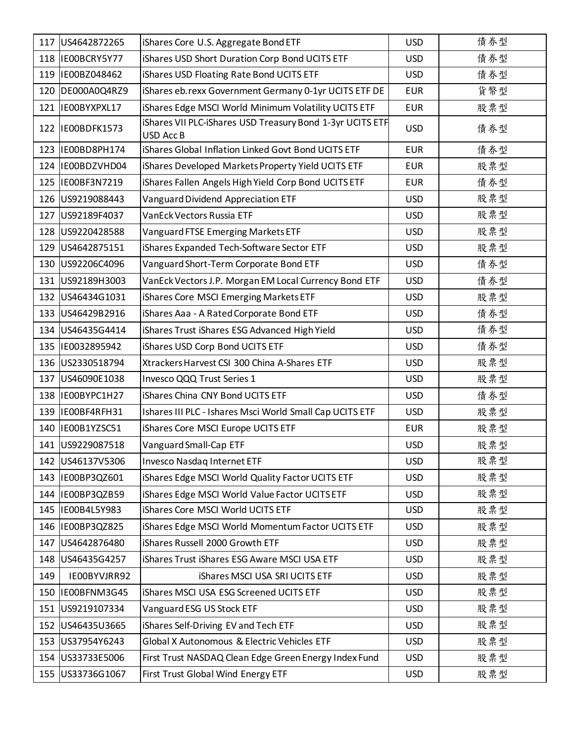|     | 117 US4642872265   | iShares Core U.S. Aggregate Bond ETF                                         | <b>USD</b> | 債券型 |
|-----|--------------------|------------------------------------------------------------------------------|------------|-----|
|     | 118  IE00BCRY5Y77  | iShares USD Short Duration Corp Bond UCITS ETF                               | <b>USD</b> | 債券型 |
|     | 119 IE00BZ048462   | iShares USD Floating Rate Bond UCITS ETF                                     | <b>USD</b> | 債券型 |
| 120 | DE000A0Q4RZ9       | iShares eb.rexx Government Germany 0-1yr UCITS ETF DE                        | <b>EUR</b> | 貨幣型 |
| 121 | IE00BYXPXL17       | iShares Edge MSCI World Minimum Volatility UCITS ETF                         | <b>EUR</b> | 股票型 |
| 122 | IE00BDFK1573       | iShares VII PLC-iShares USD Treasury Bond 1-3yr UCITS ETF<br><b>USD AccB</b> | <b>USD</b> | 債券型 |
| 123 | IE00BD8PH174       | iShares Global Inflation Linked Govt Bond UCITS ETF                          | <b>EUR</b> | 債券型 |
| 124 | IE00BDZVHD04       | iShares Developed Markets Property Yield UCITS ETF                           | <b>EUR</b> | 股票型 |
|     | 125 IE00BF3N7219   | iShares Fallen Angels High Yield Corp Bond UCITS ETF                         | <b>EUR</b> | 債券型 |
|     | 126 US9219088443   | Vanguard Dividend Appreciation ETF                                           | <b>USD</b> | 股票型 |
| 127 | US92189F4037       | VanEck Vectors Russia ETF                                                    | <b>USD</b> | 股票型 |
|     | 128 US9220428588   | Vanguard FTSE Emerging Markets ETF                                           | <b>USD</b> | 股票型 |
|     | 129 US4642875151   | iShares Expanded Tech-Software Sector ETF                                    | <b>USD</b> | 股票型 |
|     | 130 US92206C4096   | Vanguard Short-Term Corporate Bond ETF                                       | <b>USD</b> | 債券型 |
| 131 | US92189H3003       | VanEck Vectors J.P. Morgan EM Local Currency Bond ETF                        | <b>USD</b> | 債券型 |
|     | 132 US46434G1031   | iShares Core MSCI Emerging Markets ETF                                       | <b>USD</b> | 股票型 |
| 133 | US46429B2916       | iShares Aaa - A Rated Corporate Bond ETF                                     | <b>USD</b> | 債券型 |
|     | 134 US46435G4414   | iShares Trust iShares ESG Advanced High Yield                                | <b>USD</b> | 債券型 |
|     | 135 IE0032895942   | iShares USD Corp Bond UCITS ETF                                              | <b>USD</b> | 債券型 |
|     | 136 US2330518794   | Xtrackers Harvest CSI 300 China A-Shares ETF                                 | <b>USD</b> | 股票型 |
| 137 | US46090E1038       | Invesco QQQ Trust Series 1                                                   | <b>USD</b> | 股票型 |
|     | 138 IE00BYPC1H27   | iShares China CNY Bond UCITS ETF                                             | <b>USD</b> | 債券型 |
|     | 139 IE00BF4RFH31   | Ishares III PLC - Ishares Msci World Small Cap UCITS ETF                     | <b>USD</b> | 股票型 |
|     | 140   IE00B1YZSC51 | iShares Core MSCI Europe UCITS ETF                                           | <b>EUR</b> | 股票型 |
|     | 141 US9229087518   | Vanguard Small-Cap ETF                                                       | <b>USD</b> | 股票型 |
|     | 142 US46137V5306   | Invesco Nasdaq Internet ETF                                                  | <b>USD</b> | 股票型 |
|     | 143 IE00BP3QZ601   | iShares Edge MSCI World Quality Factor UCITS ETF                             | <b>USD</b> | 股票型 |
|     | 144 IE00BP3QZB59   | iShares Edge MSCI World Value Factor UCITS ETF                               | <b>USD</b> | 股票型 |
|     | 145 IE00B4L5Y983   | iShares Core MSCI World UCITS ETF                                            | <b>USD</b> | 股票型 |
|     | 146 IE00BP3QZ825   | iShares Edge MSCI World Momentum Factor UCITS ETF                            | <b>USD</b> | 股票型 |
|     | 147 US4642876480   | iShares Russell 2000 Growth ETF                                              | <b>USD</b> | 股票型 |
|     | 148 US46435G4257   | iShares Trust iShares ESG Aware MSCI USA ETF                                 | <b>USD</b> | 股票型 |
| 149 | IE00BYVJRR92       | iShares MSCI USA SRI UCITS ETF                                               | <b>USD</b> | 股票型 |
|     | 150 IE00BFNM3G45   | iShares MSCI USA ESG Screened UCITS ETF                                      | <b>USD</b> | 股票型 |
|     | 151 US9219107334   | Vanguard ESG US Stock ETF                                                    | <b>USD</b> | 股票型 |
|     | 152 US46435U3665   | iShares Self-Driving EV and Tech ETF                                         | <b>USD</b> | 股票型 |
| 153 | US37954Y6243       | Global X Autonomous & Electric Vehicles ETF                                  | <b>USD</b> | 股票型 |
|     | 154 US33733E5006   | First Trust NASDAQ Clean Edge Green Energy Index Fund                        | <b>USD</b> | 股票型 |
|     | 155 US33736G1067   | First Trust Global Wind Energy ETF                                           | <b>USD</b> | 股票型 |